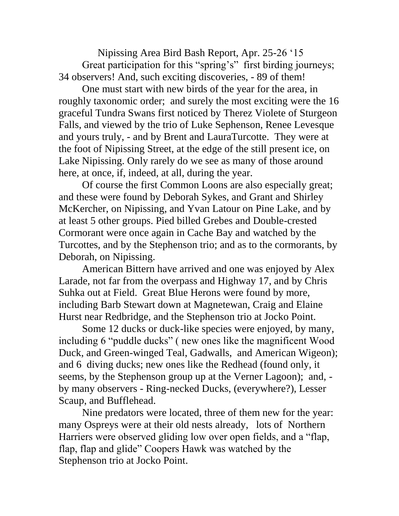Nipissing Area Bird Bash Report, Apr. 25-26 '15 Great participation for this "spring's" first birding journeys; 34 observers! And, such exciting discoveries, - 89 of them!

One must start with new birds of the year for the area, in roughly taxonomic order; and surely the most exciting were the 16 graceful Tundra Swans first noticed by Therez Violete of Sturgeon Falls, and viewed by the trio of Luke Sephenson, Renee Levesque and yours truly, - and by Brent and LauraTurcotte. They were at the foot of Nipissing Street, at the edge of the still present ice, on Lake Nipissing. Only rarely do we see as many of those around here, at once, if, indeed, at all, during the year.

Of course the first Common Loons are also especially great; and these were found by Deborah Sykes, and Grant and Shirley McKercher, on Nipissing, and Yvan Latour on Pine Lake, and by at least 5 other groups. Pied billed Grebes and Double-crested Cormorant were once again in Cache Bay and watched by the Turcottes, and by the Stephenson trio; and as to the cormorants, by Deborah, on Nipissing.

American Bittern have arrived and one was enjoyed by Alex Larade, not far from the overpass and Highway 17, and by Chris Suhka out at Field. Great Blue Herons were found by more, including Barb Stewart down at Magnetewan, Craig and Elaine Hurst near Redbridge, and the Stephenson trio at Jocko Point.

Some 12 ducks or duck-like species were enjoyed, by many, including 6 "puddle ducks" ( new ones like the magnificent Wood Duck, and Green-winged Teal, Gadwalls, and American Wigeon); and 6 diving ducks; new ones like the Redhead (found only, it seems, by the Stephenson group up at the Verner Lagoon); and, by many observers - Ring-necked Ducks, (everywhere?), Lesser Scaup, and Bufflehead.

Nine predators were located, three of them new for the year: many Ospreys were at their old nests already, lots of Northern Harriers were observed gliding low over open fields, and a "flap, flap, flap and glide" Coopers Hawk was watched by the Stephenson trio at Jocko Point.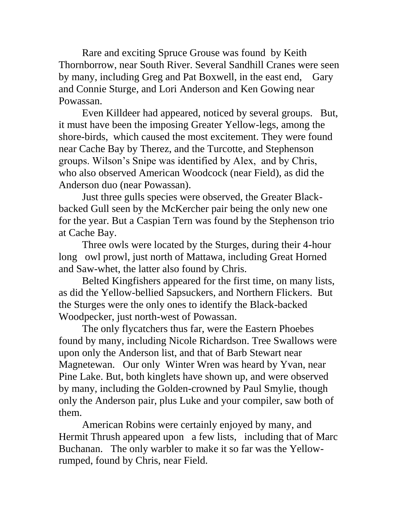Rare and exciting Spruce Grouse was found by Keith Thornborrow, near South River. Several Sandhill Cranes were seen by many, including Greg and Pat Boxwell, in the east end, Gary and Connie Sturge, and Lori Anderson and Ken Gowing near Powassan.

Even Killdeer had appeared, noticed by several groups. But, it must have been the imposing Greater Yellow-legs, among the shore-birds, which caused the most excitement. They were found near Cache Bay by Therez, and the Turcotte, and Stephenson groups. Wilson's Snipe was identified by Alex, and by Chris, who also observed American Woodcock (near Field), as did the Anderson duo (near Powassan).

Just three gulls species were observed, the Greater Blackbacked Gull seen by the McKercher pair being the only new one for the year. But a Caspian Tern was found by the Stephenson trio at Cache Bay.

Three owls were located by the Sturges, during their 4-hour long owl prowl, just north of Mattawa, including Great Horned and Saw-whet, the latter also found by Chris.

Belted Kingfishers appeared for the first time, on many lists, as did the Yellow-bellied Sapsuckers, and Northern Flickers. But the Sturges were the only ones to identify the Black-backed Woodpecker, just north-west of Powassan.

The only flycatchers thus far, were the Eastern Phoebes found by many, including Nicole Richardson. Tree Swallows were upon only the Anderson list, and that of Barb Stewart near Magnetewan. Our only Winter Wren was heard by Yvan, near Pine Lake. But, both kinglets have shown up, and were observed by many, including the Golden-crowned by Paul Smylie, though only the Anderson pair, plus Luke and your compiler, saw both of them.

American Robins were certainly enjoyed by many, and Hermit Thrush appeared upon a few lists, including that of Marc Buchanan. The only warbler to make it so far was the Yellowrumped, found by Chris, near Field.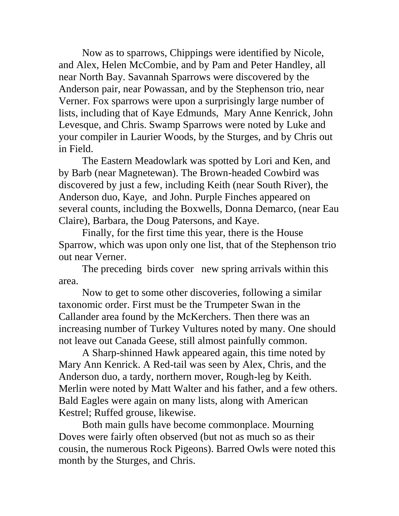Now as to sparrows, Chippings were identified by Nicole, and Alex, Helen McCombie, and by Pam and Peter Handley, all near North Bay. Savannah Sparrows were discovered by the Anderson pair, near Powassan, and by the Stephenson trio, near Verner. Fox sparrows were upon a surprisingly large number of lists, including that of Kaye Edmunds, Mary Anne Kenrick, John Levesque, and Chris. Swamp Sparrows were noted by Luke and your compiler in Laurier Woods, by the Sturges, and by Chris out in Field.

The Eastern Meadowlark was spotted by Lori and Ken, and by Barb (near Magnetewan). The Brown-headed Cowbird was discovered by just a few, including Keith (near South River), the Anderson duo, Kaye, and John. Purple Finches appeared on several counts, including the Boxwells, Donna Demarco, (near Eau Claire), Barbara, the Doug Patersons, and Kaye.

Finally, for the first time this year, there is the House Sparrow, which was upon only one list, that of the Stephenson trio out near Verner.

The preceding birds cover new spring arrivals within this area.

Now to get to some other discoveries, following a similar taxonomic order. First must be the Trumpeter Swan in the Callander area found by the McKerchers. Then there was an increasing number of Turkey Vultures noted by many. One should not leave out Canada Geese, still almost painfully common.

A Sharp-shinned Hawk appeared again, this time noted by Mary Ann Kenrick. A Red-tail was seen by Alex, Chris, and the Anderson duo, a tardy, northern mover, Rough-leg by Keith. Merlin were noted by Matt Walter and his father, and a few others. Bald Eagles were again on many lists, along with American Kestrel; Ruffed grouse, likewise.

Both main gulls have become commonplace. Mourning Doves were fairly often observed (but not as much so as their cousin, the numerous Rock Pigeons). Barred Owls were noted this month by the Sturges, and Chris.